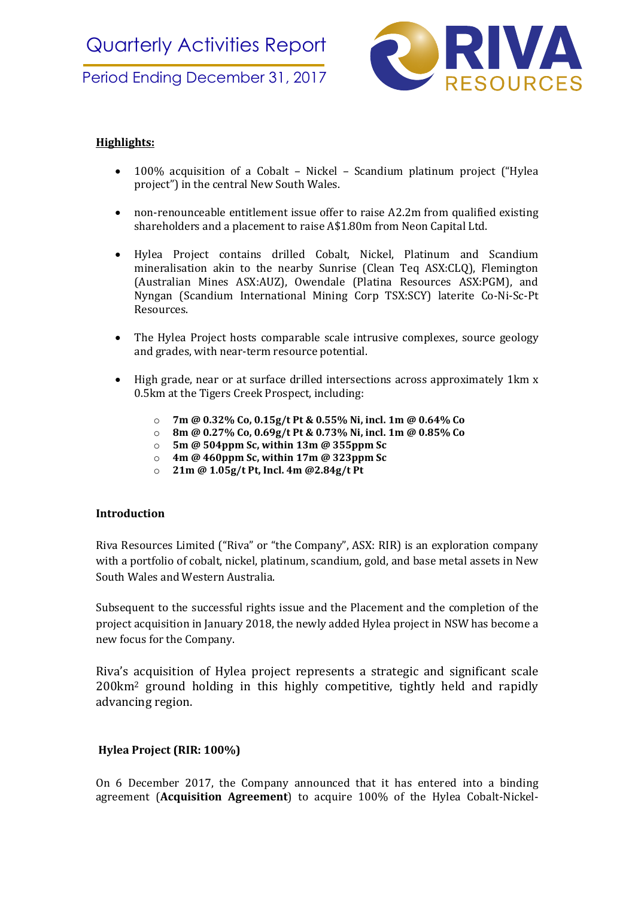

# Highlights:

- 100% acquisition of a Cobalt Nickel Scandium platinum project ("Hylea project") in the central New South Wales.
- non-renounceable entitlement issue offer to raise A2.2m from qualified existing shareholders and a placement to raise A\$1.80m from Neon Capital Ltd.
- Hylea Project contains drilled Cobalt, Nickel, Platinum and Scandium mineralisation akin to the nearby Sunrise (Clean Teq ASX:CLQ), Flemington (Australian Mines ASX:AUZ), Owendale (Platina Resources ASX:PGM), and Nyngan (Scandium International Mining Corp TSX:SCY) laterite Co-Ni-Sc-Pt Resources.
- The Hylea Project hosts comparable scale intrusive complexes, source geology and grades, with near-term resource potential.
- High grade, near or at surface drilled intersections across approximately 1km x 0.5km at the Tigers Creek Prospect, including:
	- o 7m @ 0.32% Co, 0.15g/t Pt & 0.55% Ni, incl. 1m @ 0.64% Co
	- o 8m @ 0.27% Co, 0.69g/t Pt & 0.73% Ni, incl. 1m @ 0.85% Co
	- $\circ$  5m @ 504ppm Sc, within 13m @ 355ppm Sc
	- $\circ$  4m @ 460ppm Sc, within 17m @ 323ppm Sc
	- o 21m @ 1.05g/t Pt, Incl. 4m @2.84g/t Pt

## Introduction

Riva Resources Limited ("Riva" or "the Company", ASX: RIR) is an exploration company with a portfolio of cobalt, nickel, platinum, scandium, gold, and base metal assets in New South Wales and Western Australia.

Subsequent to the successful rights issue and the Placement and the completion of the project acquisition in January 2018, the newly added Hylea project in NSW has become a new focus for the Company.

Riva's acquisition of Hylea project represents a strategic and significant scale 200km2 ground holding in this highly competitive, tightly held and rapidly advancing region.

## Hylea Project (RIR: 100%)

On 6 December 2017, the Company announced that it has entered into a binding agreement (Acquisition Agreement) to acquire 100% of the Hylea Cobalt-Nickel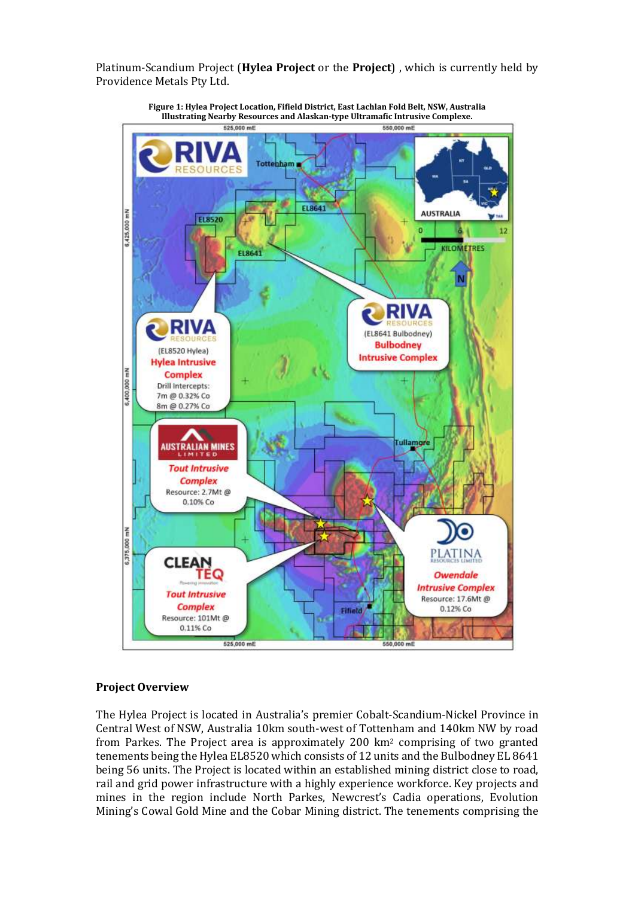Platinum-Scandium Project (Hylea Project or the Project) , which is currently held by Providence Metals Pty Ltd.



Figure 1: Hylea Project Location, Fifield District, East Lachlan Fold Belt, NSW, Australia Illustrating Nearby Resources and Alaskan-type Ultramafic Intrusive Complexe.

## Project Overview

The Hylea Project is located in Australia's premier Cobalt-Scandium-Nickel Province in Central West of NSW, Australia 10km south-west of Tottenham and 140km NW by road from Parkes. The Project area is approximately 200 km2 comprising of two granted tenements being the Hylea EL8520 which consists of 12 units and the Bulbodney EL 8641 being 56 units. The Project is located within an established mining district close to road, rail and grid power infrastructure with a highly experience workforce. Key projects and mines in the region include North Parkes, Newcrest's Cadia operations, Evolution Mining's Cowal Gold Mine and the Cobar Mining district. The tenements comprising the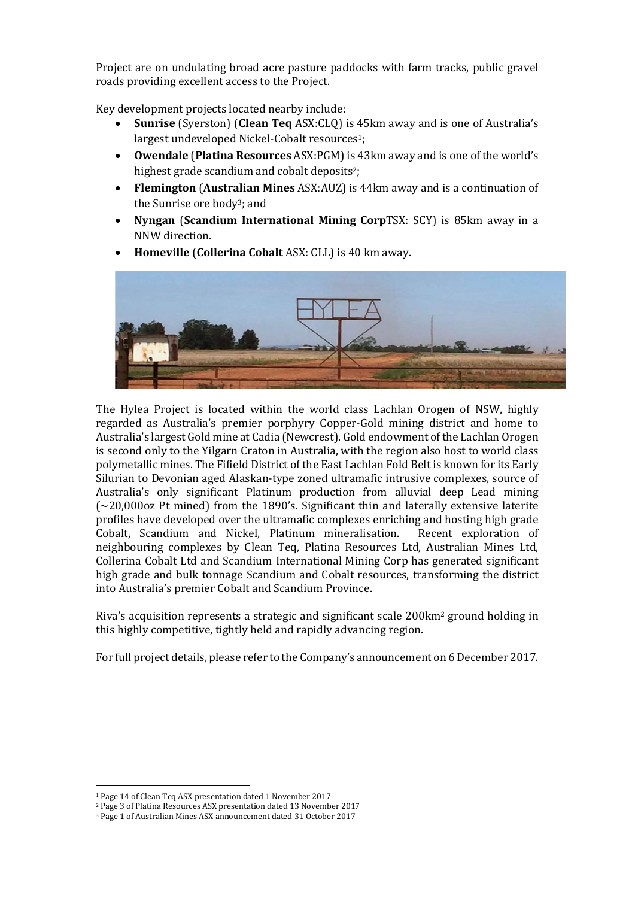Project are on undulating broad acre pasture paddocks with farm tracks, public gravel roads providing excellent access to the Project.

Key development projects located nearby include:

- Sunrise (Syerston) (Clean Teq ASX:CLQ) is 45km away and is one of Australia's largest undeveloped Nickel-Cobalt resources<sup>1</sup>;
- Owendale (Platina Resources ASX:PGM) is 43km away and is one of the world's highest grade scandium and cobalt deposits<sup>2</sup>;
- Flemington (Australian Mines ASX:AUZ) is 44km away and is a continuation of the Sunrise ore body3; and
- Nyngan (Scandium International Mining CorpTSX: SCY) is 85km away in a NNW direction.
- Homeville (Collerina Cobalt ASX: CLL) is 40 km away.



The Hylea Project is located within the world class Lachlan Orogen of NSW, highly regarded as Australia's premier porphyry Copper-Gold mining district and home to Australia's largest Gold mine at Cadia (Newcrest). Gold endowment of the Lachlan Orogen is second only to the Yilgarn Craton in Australia, with the region also host to world class polymetallic mines. The Fifield District of the East Lachlan Fold Belt is known for its Early Silurian to Devonian aged Alaskan-type zoned ultramafic intrusive complexes, source of Australia's only significant Platinum production from alluvial deep Lead mining  $\approx$  20,000oz Pt mined) from the 1890's. Significant thin and laterally extensive laterite profiles have developed over the ultramafic complexes enriching and hosting high grade Cobalt, Scandium and Nickel, Platinum mineralisation. Recent exploration of neighbouring complexes by Clean Teq, Platina Resources Ltd, Australian Mines Ltd, Collerina Cobalt Ltd and Scandium International Mining Corp has generated significant high grade and bulk tonnage Scandium and Cobalt resources, transforming the district into Australia's premier Cobalt and Scandium Province.

Riva's acquisition represents a strategic and significant scale 200km2 ground holding in this highly competitive, tightly held and rapidly advancing region.

For full project details, please refer to the Company's announcement on 6 December 2017.

-

<sup>1</sup> Page 14 of Clean Teq ASX presentation dated 1 November 2017

<sup>2</sup> Page 3 of Platina Resources ASX presentation dated 13 November 2017

<sup>3</sup> Page 1 of Australian Mines ASX announcement dated 31 October 2017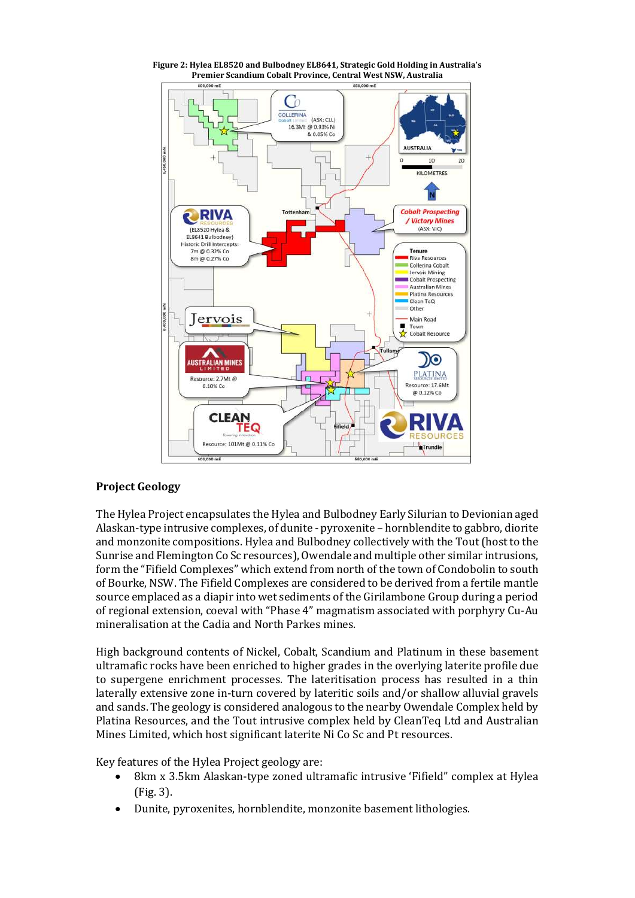

Figure 2: Hylea EL8520 and Bulbodney EL8641, Strategic Gold Holding in Australia's Premier Scandium Cobalt Province, Central West NSW, Australia

## Project Geology

The Hylea Project encapsulates the Hylea and Bulbodney Early Silurian to Devionian aged Alaskan-type intrusive complexes, of dunite - pyroxenite – hornblendite to gabbro, diorite and monzonite compositions. Hylea and Bulbodney collectively with the Tout (host to the Sunrise and Flemington Co Sc resources), Owendale and multiple other similar intrusions, form the "Fifield Complexes" which extend from north of the town of Condobolin to south of Bourke, NSW. The Fifield Complexes are considered to be derived from a fertile mantle source emplaced as a diapir into wet sediments of the Girilambone Group during a period of regional extension, coeval with "Phase 4" magmatism associated with porphyry Cu-Au mineralisation at the Cadia and North Parkes mines.

High background contents of Nickel, Cobalt, Scandium and Platinum in these basement ultramafic rocks have been enriched to higher grades in the overlying laterite profile due to supergene enrichment processes. The lateritisation process has resulted in a thin laterally extensive zone in-turn covered by lateritic soils and/or shallow alluvial gravels and sands. The geology is considered analogous to the nearby Owendale Complex held by Platina Resources, and the Tout intrusive complex held by CleanTeq Ltd and Australian Mines Limited, which host significant laterite Ni Co Sc and Pt resources.

Key features of the Hylea Project geology are:

- 8km x 3.5km Alaskan-type zoned ultramafic intrusive 'Fifield" complex at Hylea (Fig. 3).
- Dunite, pyroxenites, hornblendite, monzonite basement lithologies.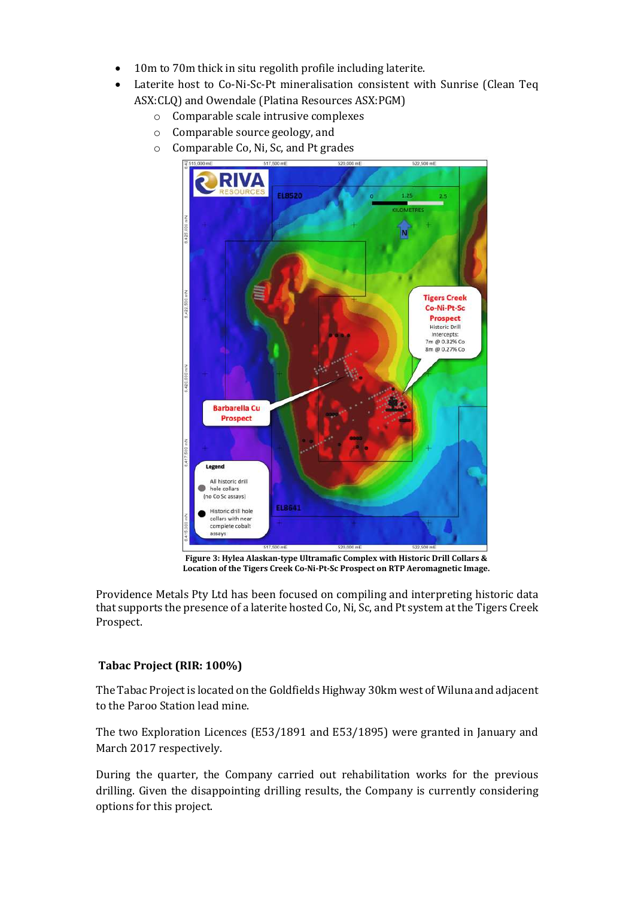- 10m to 70m thick in situ regolith profile including laterite.
- Laterite host to Co-Ni-Sc-Pt mineralisation consistent with Sunrise (Clean Teq ASX:CLQ) and Owendale (Platina Resources ASX:PGM)
	- o Comparable scale intrusive complexes
	- o Comparable source geology, and
	- o Comparable Co, Ni, Sc, and Pt grades



Figure 3: Hylea Alaskan-type Ultramafic Complex with Historic Drill Collars & Location of the Tigers Creek Co-Ni-Pt-Sc Prospect on RTP Aeromagnetic Image.

Providence Metals Pty Ltd has been focused on compiling and interpreting historic data that supports the presence of a laterite hosted Co, Ni, Sc, and Pt system at the Tigers Creek Prospect.

## Tabac Project (RIR: 100%)

The Tabac Project is located on the Goldfields Highway 30km west of Wiluna and adjacent to the Paroo Station lead mine.

The two Exploration Licences (E53/1891 and E53/1895) were granted in January and March 2017 respectively.

During the quarter, the Company carried out rehabilitation works for the previous drilling. Given the disappointing drilling results, the Company is currently considering options for this project.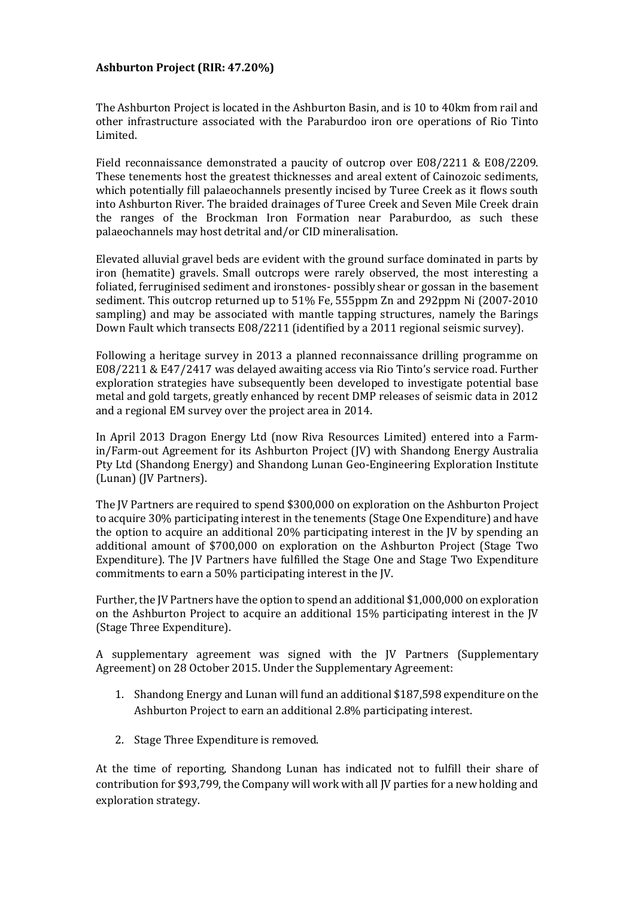### Ashburton Project (RIR: 47.20%)

The Ashburton Project is located in the Ashburton Basin, and is 10 to 40km from rail and other infrastructure associated with the Paraburdoo iron ore operations of Rio Tinto Limited.

Field reconnaissance demonstrated a paucity of outcrop over E08/2211 & E08/2209. These tenements host the greatest thicknesses and areal extent of Cainozoic sediments, which potentially fill palaeochannels presently incised by Turee Creek as it flows south into Ashburton River. The braided drainages of Turee Creek and Seven Mile Creek drain the ranges of the Brockman Iron Formation near Paraburdoo, as such these palaeochannels may host detrital and/or CID mineralisation.

Elevated alluvial gravel beds are evident with the ground surface dominated in parts by iron (hematite) gravels. Small outcrops were rarely observed, the most interesting a foliated, ferruginised sediment and ironstones- possibly shear or gossan in the basement sediment. This outcrop returned up to 51% Fe, 555ppm Zn and 292ppm Ni (2007-2010 sampling) and may be associated with mantle tapping structures, namely the Barings Down Fault which transects E08/2211 (identified by a 2011 regional seismic survey).

Following a heritage survey in 2013 a planned reconnaissance drilling programme on E08/2211 & E47/2417 was delayed awaiting access via Rio Tinto's service road. Further exploration strategies have subsequently been developed to investigate potential base metal and gold targets, greatly enhanced by recent DMP releases of seismic data in 2012 and a regional EM survey over the project area in 2014.

In April 2013 Dragon Energy Ltd (now Riva Resources Limited) entered into a Farmin/Farm-out Agreement for its Ashburton Project (JV) with Shandong Energy Australia Pty Ltd (Shandong Energy) and Shandong Lunan Geo-Engineering Exploration Institute (Lunan) (JV Partners).

The JV Partners are required to spend \$300,000 on exploration on the Ashburton Project to acquire 30% participating interest in the tenements (Stage One Expenditure) and have the option to acquire an additional 20% participating interest in the JV by spending an additional amount of \$700,000 on exploration on the Ashburton Project (Stage Two Expenditure). The JV Partners have fulfilled the Stage One and Stage Two Expenditure commitments to earn a 50% participating interest in the JV.

Further, the JV Partners have the option to spend an additional \$1,000,000 on exploration on the Ashburton Project to acquire an additional 15% participating interest in the JV (Stage Three Expenditure).

A supplementary agreement was signed with the JV Partners (Supplementary Agreement) on 28 October 2015. Under the Supplementary Agreement:

- 1. Shandong Energy and Lunan will fund an additional \$187,598 expenditure on the Ashburton Project to earn an additional 2.8% participating interest.
- 2. Stage Three Expenditure is removed.

At the time of reporting, Shandong Lunan has indicated not to fulfill their share of contribution for \$93,799, the Company will work with all JV parties for a new holding and exploration strategy.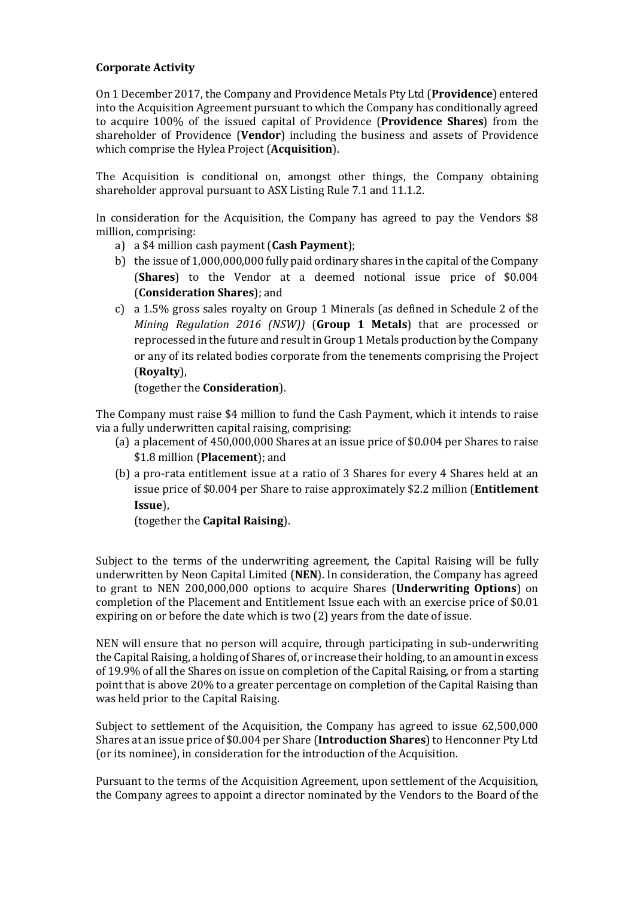## Corporate Activity

On 1 December 2017, the Company and Providence Metals Pty Ltd (Providence) entered into the Acquisition Agreement pursuant to which the Company has conditionally agreed to acquire 100% of the issued capital of Providence (Providence Shares) from the shareholder of Providence (Vendor) including the business and assets of Providence which comprise the Hylea Project (**Acquisition**).

The Acquisition is conditional on, amongst other things, the Company obtaining shareholder approval pursuant to ASX Listing Rule 7.1 and 11.1.2.

In consideration for the Acquisition, the Company has agreed to pay the Vendors \$8 million, comprising:

- a) a \$4 million cash payment (Cash Payment);
- b) the issue of 1,000,000,000 fully paid ordinary shares in the capital of the Company (Shares) to the Vendor at a deemed notional issue price of \$0.004 (Consideration Shares); and
- c) a 1.5% gross sales royalty on Group 1 Minerals (as defined in Schedule 2 of the Mining Regulation 2016 (NSW)) (Group 1 Metals) that are processed or reprocessed in the future and result in Group 1 Metals production by the Company or any of its related bodies corporate from the tenements comprising the Project (Royalty),

(together the Consideration).

The Company must raise \$4 million to fund the Cash Payment, which it intends to raise via a fully underwritten capital raising, comprising:

- (a) a placement of 450,000,000 Shares at an issue price of \$0.004 per Shares to raise \$1.8 million (Placement); and
- (b) a pro-rata entitlement issue at a ratio of 3 Shares for every 4 Shares held at an issue price of \$0.004 per Share to raise approximately \$2.2 million (Entitlement Issue),

(together the Capital Raising).

Subject to the terms of the underwriting agreement, the Capital Raising will be fully underwritten by Neon Capital Limited (NEN). In consideration, the Company has agreed to grant to NEN 200,000,000 options to acquire Shares (Underwriting Options) on completion of the Placement and Entitlement Issue each with an exercise price of \$0.01 expiring on or before the date which is two (2) years from the date of issue.

NEN will ensure that no person will acquire, through participating in sub-underwriting the Capital Raising, a holding of Shares of, or increase their holding, to an amount in excess of 19.9% of all the Shares on issue on completion of the Capital Raising, or from a starting point that is above 20% to a greater percentage on completion of the Capital Raising than was held prior to the Capital Raising.

Subject to settlement of the Acquisition, the Company has agreed to issue 62,500,000 Shares at an issue price of \$0.004 per Share (Introduction Shares) to Henconner Pty Ltd (or its nominee), in consideration for the introduction of the Acquisition.

Pursuant to the terms of the Acquisition Agreement, upon settlement of the Acquisition, the Company agrees to appoint a director nominated by the Vendors to the Board of the